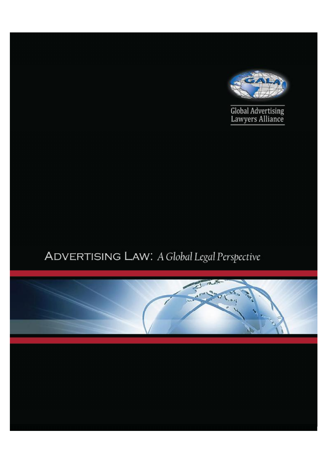

# ADVERTISING LAW: A Global Legal Perspective

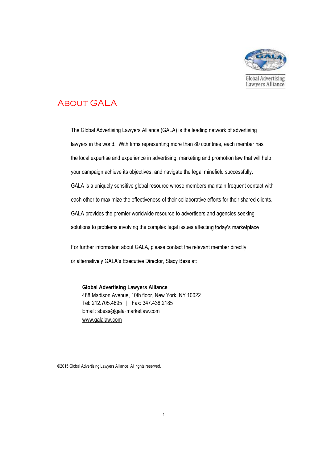

## **ABOUT GAL A**

The Global Advertising Lawyers Alliance (GALA) is the leading network of advertising lawyers in the world. With firms representing more than 80 countries, each member has the local expertise and experience in advertising, marketing and promotion law that will help your campaign achieve its objectives, and navigate the legal minefield successfully. GALA is a uniquely sensitive global resource whose members maintain frequent contact with each other to maximize the effectiveness of their collaborative efforts for their shared clients. GALA provides the premier worldwide resource to advertisers and agencies seeking solutions to problems involving the complex legal issues affecting today's marketplace.

For further information about GALA, please contact the relevant member directly or alternatively GALA's Executive Director, Stacy Bess at:

**Global Advertising Lawyers Alliance**  488 Madison Avenue, 10th floor, New York, NY 10022 Tel: 212.705.4895 | Fax: 347.438.2185 Email: sbess@gala marketlaw.com [www.galalaw.com](http://www.galalaw.com)

©2015 Global Advertising Lawyers Alliance. All rights reserved.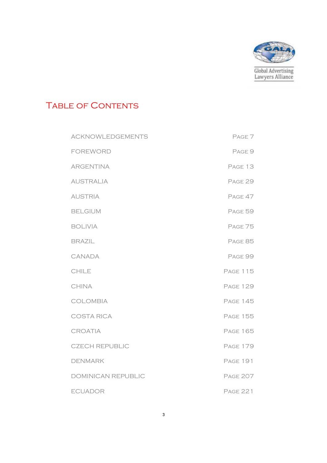

## TABLE OF CONTENTS

| <b>ACKNOWLEDGEMENTS</b> | PAGE <sub>7</sub> |
|-------------------------|-------------------|
| <b>FOREWORD</b>         | PAGE 9            |
| <b>ARGENTINA</b>        | PAGE 13           |
| <b>AUSTRALIA</b>        | PAGE 29           |
| <b>AUSTRIA</b>          | PAGE 47           |
| <b>BELGIUM</b>          | PAGE 59           |
| <b>BOLIVIA</b>          | PAGE 75           |
| <b>BRAZIL</b>           | PAGE 85           |
| CANADA                  | PAGE 99           |
| <b>CHILE</b>            | <b>PAGE 115</b>   |
| <b>CHINA</b>            | <b>PAGE 129</b>   |
| COLOMBIA                | <b>PAGE 145</b>   |
| <b>COSTA RICA</b>       | <b>PAGE 155</b>   |
| CROATIA                 | <b>PAGE 165</b>   |
| <b>CZECH REPUBLIC</b>   | <b>PAGE 179</b>   |
| <b>DENMARK</b>          | <b>PAGE 191</b>   |
| DOMINICAN REPUBLIC      | <b>PAGE 207</b>   |
| <b>ECUADOR</b>          | <b>PAGE 221</b>   |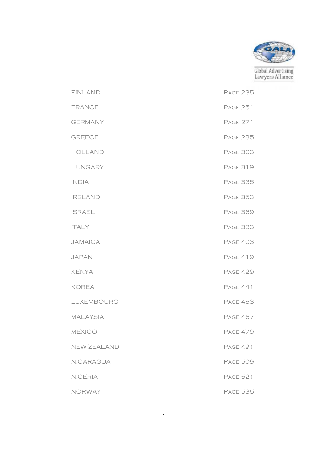

| <b>FINLAND</b>  | <b>PAGE 235</b> |
|-----------------|-----------------|
| <b>FRANCE</b>   | <b>PAGE 251</b> |
| <b>GERMANY</b>  | <b>PAGE 271</b> |
| <b>GREECE</b>   | <b>PAGE 285</b> |
| <b>HOLLAND</b>  | <b>PAGE 303</b> |
| <b>HUNGARY</b>  | <b>PAGE 319</b> |
| <b>INDIA</b>    | <b>PAGE 335</b> |
| <b>IRELAND</b>  | <b>PAGE 353</b> |
| <b>ISRAEL</b>   | <b>PAGE 369</b> |
| <b>ITALY</b>    | <b>PAGE 383</b> |
| <b>JAMAICA</b>  | <b>PAGE 403</b> |
| <b>JAPAN</b>    | <b>PAGE 419</b> |
| <b>KENYA</b>    | <b>PAGE 429</b> |
| <b>KOREA</b>    | <b>PAGE 441</b> |
| LUXEMBOURG      | <b>PAGE 453</b> |
| <b>MALAYSIA</b> | <b>PAGE 467</b> |
| <b>MEXICO</b>   | <b>PAGE 479</b> |
| NEW ZEALAND     | <b>PAGE 491</b> |
| NICARAGUA       | <b>PAGE 509</b> |
| <b>NIGERIA</b>  | <b>PAGE 521</b> |
| <b>NORWAY</b>   | <b>PAGE 535</b> |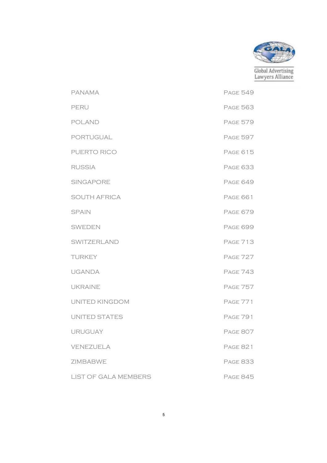

PANAMA PAGE 549 PERU PAGE 563 POLAND PAGE 579 PORTUGUAL PORTUGUAL PAGE 597 PUERTO RICO PAGE 615 RUSSIA Page 633 SINGAPORE PAGE 649 SOUTH AFRICA PAGE 661 SPAIN PAGE 679 SWEDEN Page 699 SWITZERLAND PAGE 713 TURKEY PAGE 727 UGANDA Page 743 UKRAINE PAGE 757 UNITED KINGDOM Page 771 UNITED STATES PAGE 791 URUGUAY Page 807 VENEZUELA Page 821 ZIMBABWE Page 833 LIST OF GALA MEMBERS PAGE 845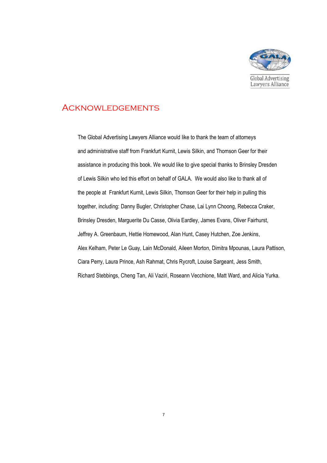

#### **ACKNOWLEDGEMENTS**

The Global Advertising Lawyers Alliance would like to thank the team of attorneys and administrative staff from Frankfurt Kurnit, Lewis Silkin, and Thomson Geer for their assistance in producing this book. We would like to give special thanks to Brinsley Dresden of Lewis Silkin who led this effort on behalf of GALA. We would also like to thank all of the people at Frankfurt Kurnit, Lewis Silkin, Thomson Geer for their help in pulling this together, including: Danny Bugler, Christopher Chase, Lai Lynn Choong, Rebecca Craker, Brinsley Dresden, Marguerite Du Casse, Olivia Eardley, James Evans, Oliver Fairhurst, Jeffrey A. Greenbaum, Hettie Homewood, Alan Hunt, Casey Hutchen, Zoe Jenkins, Alex Kelham, Peter Le Guay, Lain McDonald, Aileen Morton, Dimitra Mpounas, Laura Pattison, Ciara Perry, Laura Prince, Ash Rahmat, Chris Rycroft, Louise Sargeant, Jess Smith, Richard Stebbings, Cheng Tan, Ali Vaziri, Roseann Vecchione, Matt Ward, and Alicia Yurka.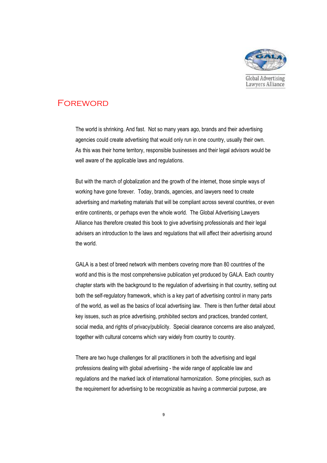

### **FOREWORD**

The world is shrinking. And fast. Not so many years ago, brands and their advertising agencies could create advertising that would only run in one country, usually their own. As this was their home territory, responsible businesses and their legal advisors would be well aware of the applicable laws and regulations.

But with the march of globalization and the growth of the internet, those simple ways of working have gone forever. Today, brands, agencies, and lawyers need to create advertising and marketing materials that will be compliant across several countries, or even entire continents, or perhaps even the whole world. The Global Advertising Lawyers Alliance has therefore created this book to give advertising professionals and their legal advisers an introduction to the laws and regulations that will affect their advertising around the world.

GALA is a best of breed network with members covering more than 80 countries of the world and this is the most comprehensive publication yet produced by GALA. Each country chapter starts with the background to the regulation of advertising in that country, setting out both the self-regulatory framework, which is a key part of advertising control in many parts of the world, as well as the basics of local advertising law. There is then further detail about key issues, such as price advertising, prohibited sectors and practices, branded content, social media, and rights of privacy/publicity. Special clearance concerns are also analyzed, together with cultural concerns which vary widely from country to country.

There are two huge challenges for all practitioners in both the advertising and legal professions dealing with global advertising - the wide range of applicable law and regulations and the marked lack of international harmonization. Some principles, such as the requirement for advertising to be recognizable as having a commercial purpose, are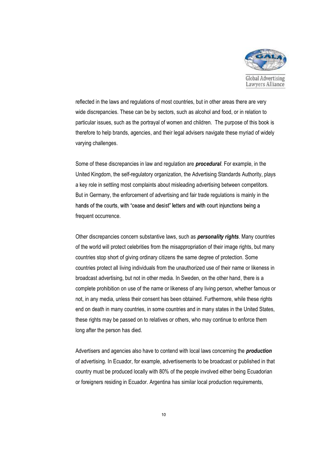

reflected in the laws and regulations of most countries, but in other areas there are very wide discrepancies. These can be by sectors, such as alcohol and food, or in relation to particular issues, such as the portrayal of women and children. The purpose of this book is therefore to help brands, agencies, and their legal advisers navigate these myriad of widely varying challenges.

Some of these discrepancies in law and regulation are *procedural*. For example, in the United Kingdom, the self-regulatory organization, the Advertising Standards Authority, plays a key role in settling most complaints about misleading advertising between competitors. But in Germany, the enforcement of advertising and fair trade regulations is mainly in the hands of the courts, with "cease and desist" letters and with court injunctions being a frequent occurrence.

Other discrepancies concern substantive laws, such as *personality rights*. Many countries of the world will protect celebrities from the misappropriation of their image rights, but many countries stop short of giving ordinary citizens the same degree of protection. Some countries protect all living individuals from the unauthorized use of their name or likeness in broadcast advertising, but not in other media. In Sweden, on the other hand, there is a complete prohibition on use of the name or likeness of any living person, whether famous or not, in any media, unless their consent has been obtained. Furthermore, while these rights end on death in many countries, in some countries and in many states in the United States, these rights may be passed on to relatives or others, who may continue to enforce them long after the person has died.

Advertisers and agencies also have to contend with local laws concerning the *production* of advertising. In Ecuador, for example, advertisements to be broadcast or published in that country must be produced locally with 80% of the people involved either being Ecuadorian or foreigners residing in Ecuador. Argentina has similar local production requirements,